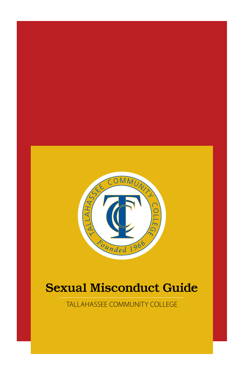

# Sexual Misconduct Guide

TALLAHASSEE COMMUNITY COLLEGE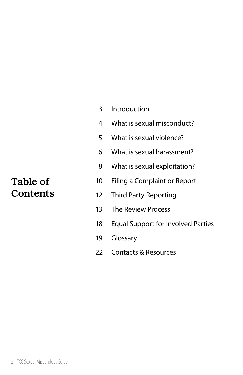### Table of **Contents**

- Introduction
- What is sexual misconduct?
- What is sexual violence?
- What is sexual harassment?
- What is sexual exploitation?
- Filing a Complaint or Report
- Third Party Reporting
- The Review Process
- Equal Support for Involved Parties
- Glossary
- Contacts & Resources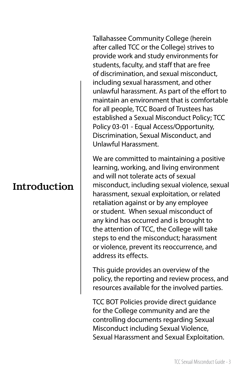#### Introduction

Tallahassee Community College (herein after called TCC or the College) strives to provide work and study environments for students, faculty, and staff that are free of discrimination, and sexual misconduct, including sexual harassment, and other unlawful harassment. As part of the effort to maintain an environment that is comfortable for all people, TCC Board of Trustees has established a Sexual Misconduct Policy; TCC Policy 03-01 - Equal Access/Opportunity, Discrimination, Sexual Misconduct, and Unlawful Harassment.

We are committed to maintaining a positive learning, working, and living environment and will not tolerate acts of sexual misconduct, including sexual violence, sexual harassment, sexual exploitation, or related retaliation against or by any employee or student. When sexual misconduct of any kind has occurred and is brought to the attention of TCC, the College will take steps to end the misconduct; harassment or violence, prevent its reoccurrence, and address its effects.

This guide provides an overview of the policy, the reporting and review process, and resources available for the involved parties.

TCC BOT Policies provide direct guidance for the College community and are the controlling documents regarding Sexual Misconduct including Sexual Violence, Sexual Harassment and Sexual Exploitation.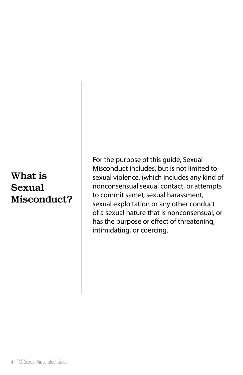### What is Sexual Misconduct?

For the purpose of this guide, Sexual Misconduct includes, but is not limited to sexual violence, (which includes any kind of nonconsensual sexual contact, or attempts to commit same), sexual harassment, sexual exploitation or any other conduct of a sexual nature that is nonconsensual, or has the purpose or effect of threatening, intimidating, or coercing.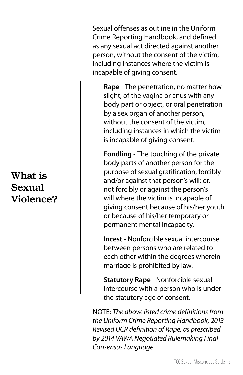## What is Sexual Violence?

Sexual offenses as outline in the Uniform Crime Reporting Handbook, and defined as any sexual act directed against another person, without the consent of the victim, including instances where the victim is incapable of giving consent.

**Rape** - The penetration, no matter how slight, of the vagina or anus with any body part or object, or oral penetration by a sex organ of another person, without the consent of the victim, including instances in which the victim is incapable of giving consent.

**Fondling** - The touching of the private body parts of another person for the purpose of sexual gratification, forcibly and/or against that person's will; or, not forcibly or against the person's will where the victim is incapable of giving consent because of his/her youth or because of his/her temporary or permanent mental incapacity.

**Incest** - Nonforcible sexual intercourse between persons who are related to each other within the degrees wherein marriage is prohibited by law.

**Statutory Rape** - Nonforcible sexual intercourse with a person who is under the statutory age of consent.

NOTE: *The above listed crime definitions from the Uniform Crime Reporting Handbook, 2013 Revised UCR definition of Rape, as prescribed by 2014 VAWA Negotiated Rulemaking Final Consensus Language.*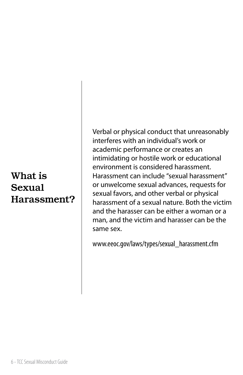### What is Sexual Harassment?

Verbal or physical conduct that unreasonably interferes with an individual's work or academic performance or creates an intimidating or hostile work or educational environment is considered harassment. Harassment can include "sexual harassment" or unwelcome sexual advances, requests for sexual favors, and other verbal or physical harassment of a sexual nature. Both the victim and the harasser can be either a woman or a man, and the victim and harasser can be the same sex.

www.eeoc.gov/laws/types/sexual\_harassment.cfm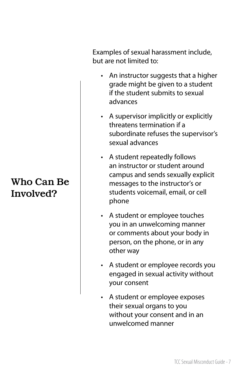## Who Can Be Involved?

Examples of sexual harassment include, but are not limited to:

- An instructor suggests that a higher grade might be given to a student if the student submits to sexual advances
- A supervisor implicitly or explicitly threatens termination if a subordinate refuses the supervisor's sexual advances
- A student repeatedly follows an instructor or student around campus and sends sexually explicit messages to the instructor's or students voicemail, email, or cell phone
- A student or employee touches you in an unwelcoming manner or comments about your body in person, on the phone, or in any other way
- A student or employee records you engaged in sexual activity without your consent
- A student or employee exposes their sexual organs to you without your consent and in an unwelcomed manner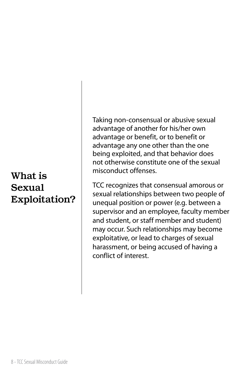### What is Sexual Exploitation?

Taking non-consensual or abusive sexual advantage of another for his/her own advantage or benefit, or to benefit or advantage any one other than the one being exploited, and that behavior does not otherwise constitute one of the sexual misconduct offenses.

TCC recognizes that consensual amorous or sexual relationships between two people of unequal position or power (e.g. between a supervisor and an employee, faculty member and student, or staff member and student) may occur. Such relationships may become exploitative, or lead to charges of sexual harassment, or being accused of having a conflict of interest.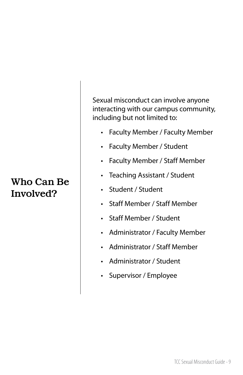### Who Can Be Involved?

Sexual misconduct can involve anyone interacting with our campus community, including but not limited to:

- Faculty Member / Faculty Member
- Faculty Member / Student
- Faculty Member / Staff Member
- Teaching Assistant / Student
- Student / Student
- Staff Member / Staff Member
- Staff Member / Student
- Administrator / Faculty Member
- Administrator / Staff Member
- Administrator / Student
- Supervisor / Employee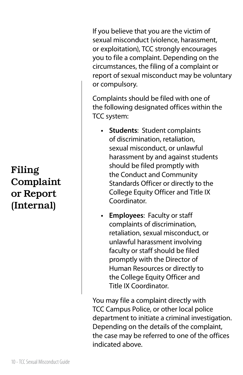# Filing Complaint or Report (Internal)

If you believe that you are the victim of sexual misconduct (violence, harassment, or exploitation), TCC strongly encourages you to file a complaint. Depending on the circumstances, the filing of a complaint or report of sexual misconduct may be voluntary or compulsory.

Complaints should be filed with one of the following designated offices within the TCC system:

- **• Students**: Student complaints of discrimination, retaliation, sexual misconduct, or unlawful harassment by and against students should be filed promptly with the Conduct and Community Standards Officer or directly to the College Equity Officer and Title IX Coordinator.
- **• Employees**: Faculty or staff complaints of discrimination, retaliation, sexual misconduct, or unlawful harassment involving faculty or staff should be filed promptly with the Director of Human Resources or directly to the College Equity Officer and Title IX Coordinator.

You may file a complaint directly with TCC Campus Police, or other local police department to initiate a criminal investigation. Depending on the details of the complaint, the case may be referred to one of the offices indicated above.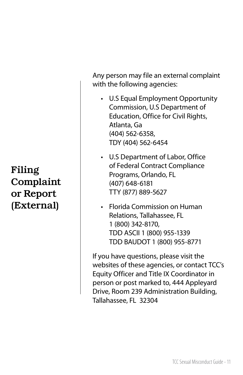# Filing Complaint or Report (External)

Any person may file an external complaint with the following agencies:

• U.S Equal Employment Opportunity Commission, U.S Department of Education, Office for Civil Rights, Atlanta, Ga (404) 562-6358, TDY (404) 562-6454

• U.S Department of Labor, Office of Federal Contract Compliance Programs, Orlando, FL (407) 648-6181 TTY (877) 889-5627

• Florida Commission on Human Relations, Tallahassee, FL 1 (800) 342-8170, TDD ASCII 1 (800) 955-1339 TDD BAUDOT 1 (800) 955-8771

If you have questions, please visit the websites of these agencies, or contact TCC's Equity Officer and Title IX Coordinator in person or post marked to, 444 Appleyard Drive, Room 239 Administration Building, Tallahassee, FL 32304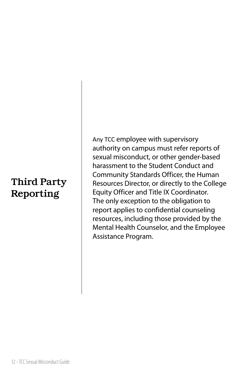# Third Party Reporting

Any TCC employee with supervisory authority on campus must refer reports of sexual misconduct, or other gender-based harassment to the Student Conduct and Community Standards Officer, the Human Resources Director, or directly to the College Equity Officer and Title IX Coordinator. The only exception to the obligation to report applies to confidential counseling resources, including those provided by the Mental Health Counselor, and the Employee Assistance Program.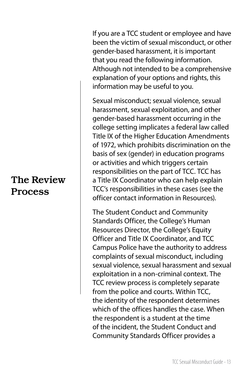#### The Review Process

If you are a TCC student or employee and have been the victim of sexual misconduct, or other gender-based harassment, it is important that you read the following information. Although not intended to be a comprehensive explanation of your options and rights, this information may be useful to you.

Sexual misconduct; sexual violence, sexual harassment, sexual exploitation, and other gender-based harassment occurring in the college setting implicates a federal law called Title IX of the Higher Education Amendments of 1972, which prohibits discrimination on the basis of sex (gender) in education programs or activities and which triggers certain responsibilities on the part of TCC. TCC has a Title IX Coordinator who can help explain TCC's responsibilities in these cases (see the officer contact information in Resources).

The Student Conduct and Community Standards Officer, the College's Human Resources Director, the College's Equity Officer and Title IX Coordinator, and TCC Campus Police have the authority to address complaints of sexual misconduct, including sexual violence, sexual harassment and sexual exploitation in a non-criminal context. The TCC review process is completely separate from the police and courts. Within TCC, the identity of the respondent determines which of the offices handles the case. When the respondent is a student at the time of the incident, the Student Conduct and Community Standards Officer provides a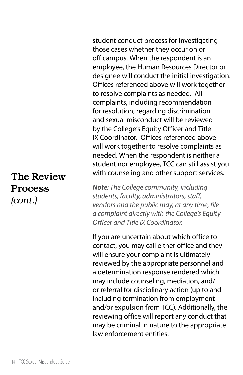student conduct process for investigating those cases whether they occur on or off campus. When the respondent is an employee, the Human Resources Director or designee will conduct the initial investigation. Offices referenced above will work together to resolve complaints as needed. All complaints, including recommendation for resolution, regarding discrimination and sexual misconduct will be reviewed by the College's Equity Officer and Title IX Coordinator. Offices referenced above will work together to resolve complaints as needed. When the respondent is neither a student nor employee, TCC can still assist you with counseling and other support services.

*Note: The College community, including students, faculty, administrators, staff, vendors and the public may, at any time, file a complaint directly with the College's Equity Officer and Title IX Coordinator.* 

If you are uncertain about which office to contact, you may call either office and they will ensure your complaint is ultimately reviewed by the appropriate personnel and a determination response rendered which may include counseling, mediation, and/ or referral for disciplinary action (up to and including termination from employment and/or expulsion from TCC). Additionally, the reviewing office will report any conduct that may be criminal in nature to the appropriate law enforcement entities.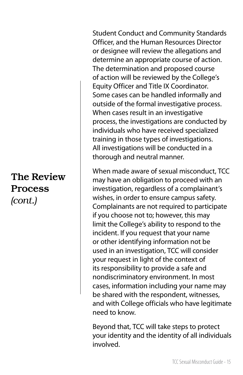Student Conduct and Community Standards Officer, and the Human Resources Director or designee will review the allegations and determine an appropriate course of action. The determination and proposed course of action will be reviewed by the College's Equity Officer and Title IX Coordinator. Some cases can be handled informally and outside of the formal investigative process. When cases result in an investigative process, the investigations are conducted by individuals who have received specialized training in those types of investigations. All investigations will be conducted in a thorough and neutral manner.

When made aware of sexual misconduct, TCC may have an obligation to proceed with an investigation, regardless of a complainant's wishes, in order to ensure campus safety. Complainants are not required to participate if you choose not to; however, this may limit the College's ability to respond to the incident. If you request that your name or other identifying information not be used in an investigation, TCC will consider your request in light of the context of its responsibility to provide a safe and nondiscriminatory environment. In most cases, information including your name may be shared with the respondent, witnesses, and with College officials who have legitimate need to know.

Beyond that, TCC will take steps to protect your identity and the identity of all individuals involved.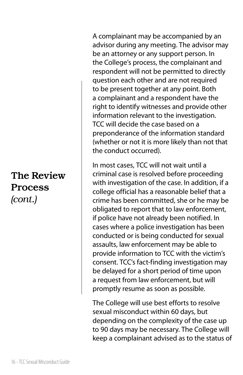A complainant may be accompanied by an advisor during any meeting. The advisor may be an attorney or any support person. In the College's process, the complainant and respondent will not be permitted to directly question each other and are not required to be present together at any point. Both a complainant and a respondent have the right to identify witnesses and provide other information relevant to the investigation. TCC will decide the case based on a preponderance of the information standard (whether or not it is more likely than not that the conduct occurred).

In most cases, TCC will not wait until a criminal case is resolved before proceeding with investigation of the case. In addition, if a college official has a reasonable belief that a crime has been committed, she or he may be obligated to report that to law enforcement, if police have not already been notified. In cases where a police investigation has been conducted or is being conducted for sexual assaults, law enforcement may be able to provide information to TCC with the victim's consent. TCC's fact-finding investigation may be delayed for a short period of time upon a request from law enforcement, but will promptly resume as soon as possible.

The College will use best efforts to resolve sexual misconduct within 60 days, but depending on the complexity of the case up to 90 days may be necessary. The College will keep a complainant advised as to the status of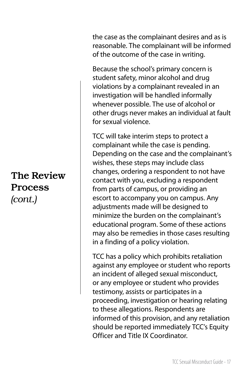the case as the complainant desires and as is reasonable. The complainant will be informed of the outcome of the case in writing.

Because the school's primary concern is student safety, minor alcohol and drug violations by a complainant revealed in an investigation will be handled informally whenever possible. The use of alcohol or other drugs never makes an individual at fault for sexual violence.

TCC will take interim steps to protect a complainant while the case is pending. Depending on the case and the complainant's wishes, these steps may include class changes, ordering a respondent to not have contact with you, excluding a respondent from parts of campus, or providing an escort to accompany you on campus. Any adjustments made will be designed to minimize the burden on the complainant's educational program. Some of these actions may also be remedies in those cases resulting in a finding of a policy violation.

TCC has a policy which prohibits retaliation against any employee or student who reports an incident of alleged sexual misconduct, or any employee or student who provides testimony, assists or participates in a proceeding, investigation or hearing relating to these allegations. Respondents are informed of this provision, and any retaliation should be reported immediately TCC's Equity Officer and Title IX Coordinator.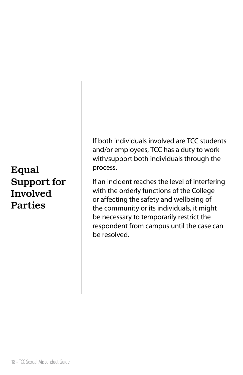# Equal Support for Involved Parties

If both individuals involved are TCC students and/or employees, TCC has a duty to work with/support both individuals through the process.

If an incident reaches the level of interfering with the orderly functions of the College or affecting the safety and wellbeing of the community or its individuals, it might be necessary to temporarily restrict the respondent from campus until the case can be resolved.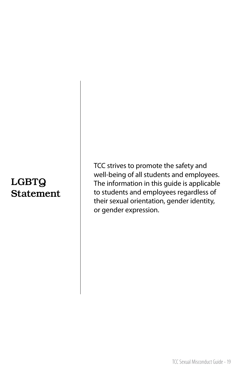## LGBTQ Statement

TCC strives to promote the safety and well-being of all students and employees. The information in this guide is applicable to students and employees regardless of their sexual orientation, gender identity, or gender expression.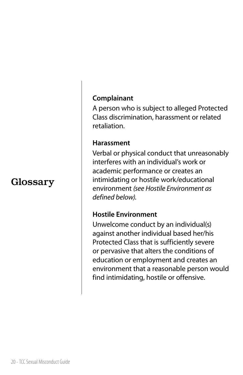#### Glossary

#### **Complainant**

A person who is subject to alleged Protected Class discrimination, harassment or related retaliation.

#### **Harassment**

Verbal or physical conduct that unreasonably interferes with an individual's work or academic performance or creates an intimidating or hostile work/educational environment *(see Hostile Environment as defined below).*

#### **Hostile Environment**

Unwelcome conduct by an individual(s) against another individual based her/his Protected Class that is sufficiently severe or pervasive that alters the conditions of education or employment and creates an environment that a reasonable person would find intimidating, hostile or offensive.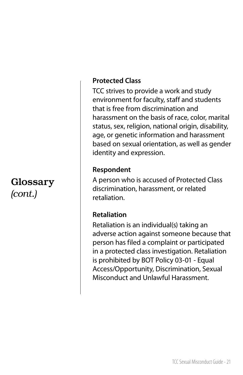#### Glossary *(cont.)*

#### **Protected Class**

TCC strives to provide a work and study environment for faculty, staff and students that is free from discrimination and harassment on the basis of race, color, marital status, sex, religion, national origin, disability, age, or genetic information and harassment based on sexual orientation, as well as gender identity and expression.

#### **Respondent**

A person who is accused of Protected Class discrimination, harassment, or related retaliation.

#### **Retaliation**

Retaliation is an individual(s) taking an adverse action against someone because that person has filed a complaint or participated in a protected class investigation. Retaliation is prohibited by BOT Policy 03-01 - Equal Access/Opportunity, Discrimination, Sexual Misconduct and Unlawful Harassment.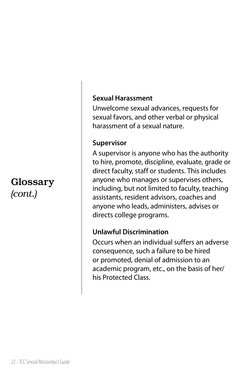#### Glossary *(cont.)*

#### **Sexual Harassment**

Unwelcome sexual advances, requests for sexual favors, and other verbal or physical harassment of a sexual nature.

#### **Supervisor**

A supervisor is anyone who has the authority to hire, promote, discipline, evaluate, grade or direct faculty, staff or students. This includes anyone who manages or supervises others, including, but not limited to faculty, teaching assistants, resident advisors, coaches and anyone who leads, administers, advises or directs college programs.

#### **Unlawful Discrimination**

Occurs when an individual suffers an adverse consequence, such a failure to be hired or promoted, denial of admission to an academic program, etc., on the basis of her/ his Protected Class.